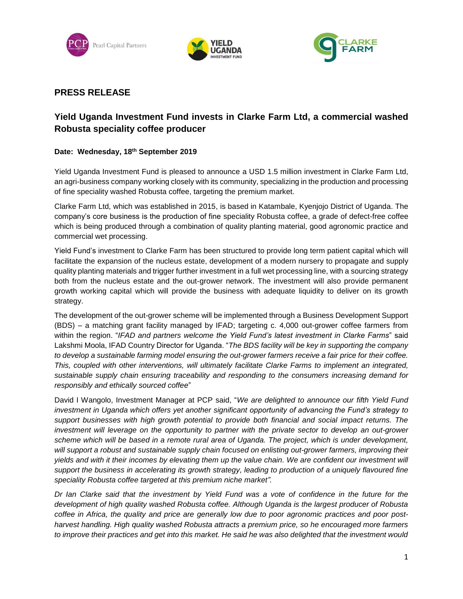





## **PRESS RELEASE**

# **Yield Uganda Investment Fund invests in Clarke Farm Ltd, a commercial washed Robusta speciality coffee producer**

#### **Date: Wednesday, 18th September 2019**

Yield Uganda Investment Fund is pleased to announce a USD 1.5 million investment in Clarke Farm Ltd, an agri-business company working closely with its community, specializing in the production and processing of fine speciality washed Robusta coffee, targeting the premium market.

Clarke Farm Ltd, which was established in 2015, is based in Katambale, Kyenjojo District of Uganda. The company's core business is the production of fine speciality Robusta coffee, a grade of defect-free coffee which is being produced through a combination of quality planting material, good agronomic practice and commercial wet processing.

Yield Fund's investment to Clarke Farm has been structured to provide long term patient capital which will facilitate the expansion of the nucleus estate, development of a modern nursery to propagate and supply quality planting materials and trigger further investment in a full wet processing line, with a sourcing strategy both from the nucleus estate and the out-grower network. The investment will also provide permanent growth working capital which will provide the business with adequate liquidity to deliver on its growth strategy.

The development of the out-grower scheme will be implemented through a Business Development Support (BDS) – a matching grant facility managed by IFAD; targeting c. 4,000 out-grower coffee farmers from within the region. "*IFAD and partners welcome the Yield Fund's latest investment in Clarke Farms*" said Lakshmi Moola, IFAD Country Director for Uganda. "*The BDS facility will be key in supporting the company to develop a sustainable farming model ensuring the out-grower farmers receive a fair price for their coffee. This, coupled with other interventions, will ultimately facilitate Clarke Farms to implement an integrated, sustainable supply chain ensuring traceability and responding to the consumers increasing demand for responsibly and ethically sourced coffee*"

David I Wangolo, Investment Manager at PCP said, "*We are delighted to announce our fifth Yield Fund investment in Uganda which offers yet another significant opportunity of advancing the Fund's strategy to support businesses with high growth potential to provide both financial and social impact returns. The investment will leverage on the opportunity to partner with the private sector to develop an out-grower scheme which will be based in a remote rural area of Uganda. The project, which is under development, will support a robust and sustainable supply chain focused on enlisting out-grower farmers, improving their yields and with it their incomes by elevating them up the value chain. We are confident our investment will support the business in accelerating its growth strategy, leading to production of a uniquely flavoured fine speciality Robusta coffee targeted at this premium niche market".* 

*Dr Ian Clarke said that the investment by Yield Fund was a vote of confidence in the future for the development of high quality washed Robusta coffee. Although Uganda is the largest producer of Robusta coffee in Africa, the quality and price are generally low due to poor agronomic practices and poor postharvest handling. High quality washed Robusta attracts a premium price, so he encouraged more farmers to improve their practices and get into this market. He said he was also delighted that the investment would*